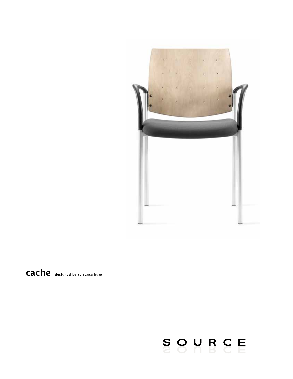



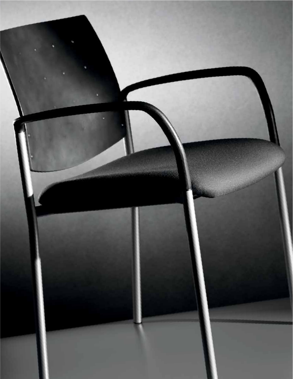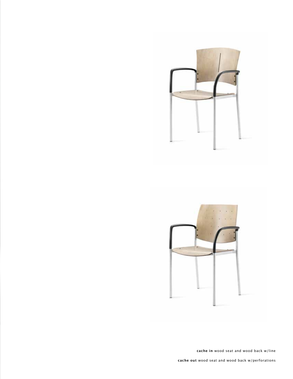



**cache in** wood seat and wood back w/line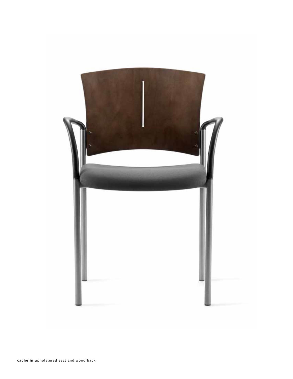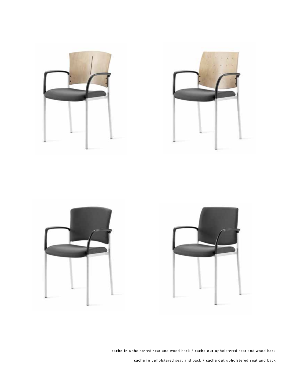





**cache in** upholstered seat and wood back / **cache out** upholstered seat and wood back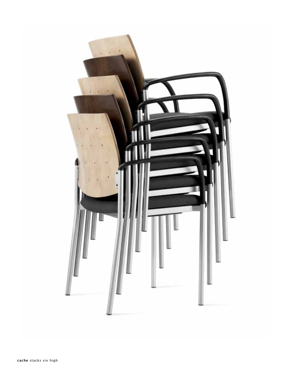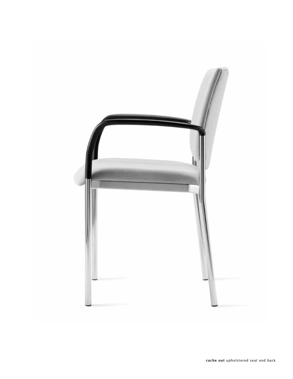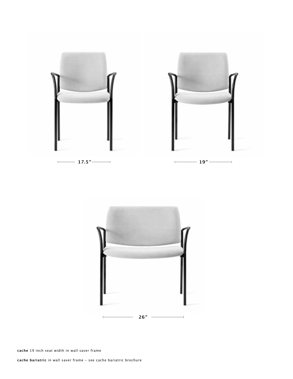



**cache** 19 inch seat width in wall saver frame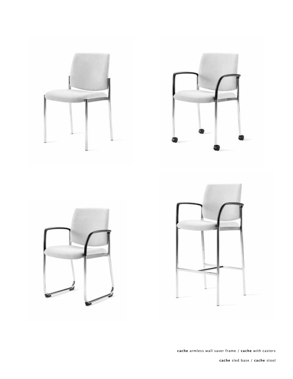

**cache** armless wall saver frame / **cache** with casters

**cache** sled base / **cache** stool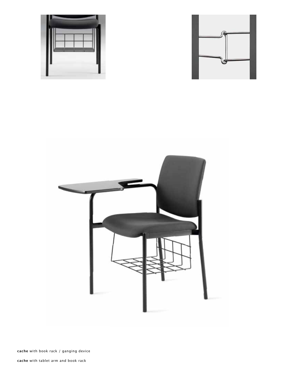





**cache** with book rack / ganging device

**cache** with tablet arm and book rack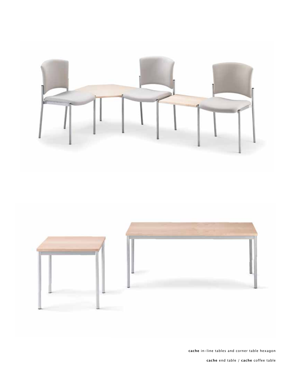



**cache** in-line tables and corner table hexagon

**cache** end table / **cache** coffee table